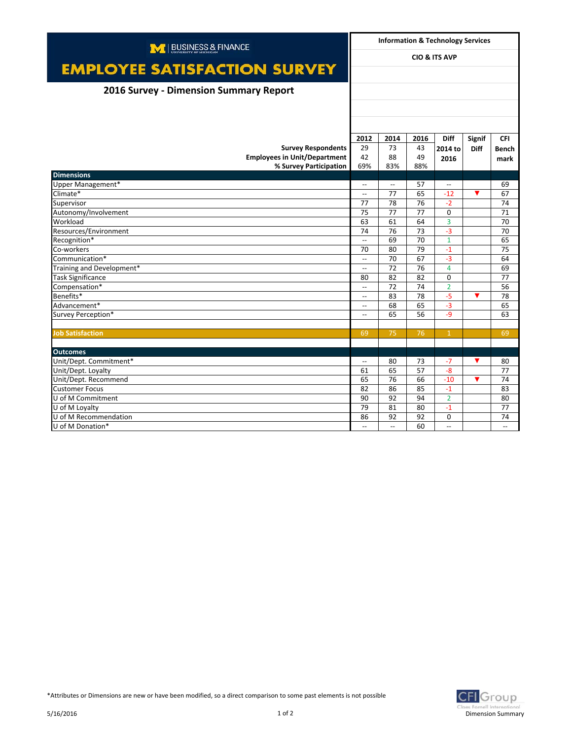| M   BUSINESS & FINANCE                 |                          | <b>Information &amp; Technology Services</b> |      |                                                     |               |              |  |
|----------------------------------------|--------------------------|----------------------------------------------|------|-----------------------------------------------------|---------------|--------------|--|
| <b>EMPLOYEE SATISFACTION SURVEY</b>    | <b>CIO &amp; ITS AVP</b> |                                              |      |                                                     |               |              |  |
|                                        |                          |                                              |      |                                                     |               |              |  |
| 2016 Survey - Dimension Summary Report |                          |                                              |      |                                                     |               |              |  |
|                                        |                          |                                              |      |                                                     |               |              |  |
|                                        |                          |                                              |      |                                                     |               |              |  |
|                                        |                          |                                              |      |                                                     |               |              |  |
|                                        | 2012                     | 2014                                         | 2016 | <b>Diff</b>                                         | <b>Signif</b> | <b>CFI</b>   |  |
| <b>Survey Respondents</b>              | 29                       | 73                                           | 43   | 2014 to                                             | <b>Diff</b>   | <b>Bench</b> |  |
| <b>Employees in Unit/Department</b>    | 42                       | 88                                           | 49   | 2016                                                |               | mark         |  |
| % Survey Participation                 | 69%                      | 83%                                          | 88%  |                                                     |               |              |  |
| <b>Dimensions</b>                      |                          |                                              |      |                                                     |               |              |  |
| Upper Management*                      | $\overline{\phantom{a}}$ | $\overline{\phantom{a}}$                     | 57   | $\hspace{0.05cm} -\hspace{0.05cm} -\hspace{0.05cm}$ |               | 69           |  |
| Climate*                               | $\overline{\phantom{a}}$ | 77                                           | 65   | $-12$                                               | ▼             | 67           |  |
| Supervisor                             | 77                       | 78                                           | 76   | $-2$                                                |               | 74           |  |
| Autonomy/Involvement                   | 75                       | 77                                           | 77   | $\Omega$                                            |               | 71           |  |
| Workload                               | 63                       | 61                                           | 64   | 3                                                   |               | 70           |  |
| Resources/Environment                  | 74                       | 76                                           | 73   | $-3$                                                |               | 70           |  |
| Recognition*                           | $\overline{\phantom{a}}$ | 69                                           | 70   | $\overline{1}$                                      |               | 65           |  |
| Co-workers                             | 70                       | 80                                           | 79   | $-1$                                                |               | 75           |  |
| Communication*                         | $\overline{\phantom{a}}$ | 70                                           | 67   | $-3$                                                |               | 64           |  |
| Training and Development*              | $\overline{\phantom{a}}$ | 72                                           | 76   | $\overline{4}$                                      |               | 69           |  |
| <b>Task Significance</b>               | 80                       | 82                                           | 82   | $\Omega$                                            |               | 77           |  |
| Compensation*                          | $\overline{\phantom{a}}$ | 72                                           | 74   | $\overline{2}$                                      |               | 56           |  |
| Benefits*                              | $\overline{\phantom{a}}$ | 83                                           | 78   | $-5$                                                | ▼             | 78           |  |
| Advancement*                           | $\overline{\phantom{a}}$ | 68                                           | 65   | $-3$                                                |               | 65           |  |
| Survey Perception*                     | $-$                      | 65                                           | 56   | $-9$                                                |               | 63           |  |
|                                        |                          |                                              |      |                                                     |               |              |  |
| <b>Job Satisfaction</b>                | 69                       | 75                                           | 76   | $\mathbf{1}$                                        |               | 69           |  |
|                                        |                          |                                              |      |                                                     |               |              |  |
| <b>Outcomes</b>                        |                          |                                              |      |                                                     |               |              |  |
| Unit/Dept. Commitment*                 | $\overline{\phantom{0}}$ | 80                                           | 73   | $-7$                                                | ▼             | 80           |  |
| Unit/Dept. Loyalty                     | 61                       | 65                                           | 57   | $-8$                                                |               | 77           |  |
| Unit/Dept. Recommend                   | 65                       | 76                                           | 66   | $-10$                                               | ▼             | 74           |  |
| <b>Customer Focus</b>                  | 82                       | 86                                           | 85   | $-1$                                                |               | 83           |  |
| U of M Commitment                      | 90                       | 92                                           | 94   | $\overline{2}$                                      |               | 80           |  |
| U of M Lovalty                         | 79                       | 81                                           | 80   | $-1$                                                |               | 77           |  |
| U of M Recommendation                  | 86                       | 92                                           | 92   | 0                                                   |               | 74           |  |
| U of M Donation*                       | $\overline{\phantom{a}}$ | $\overline{\phantom{a}}$                     | 60   | $\overline{a}$                                      |               | $-$          |  |